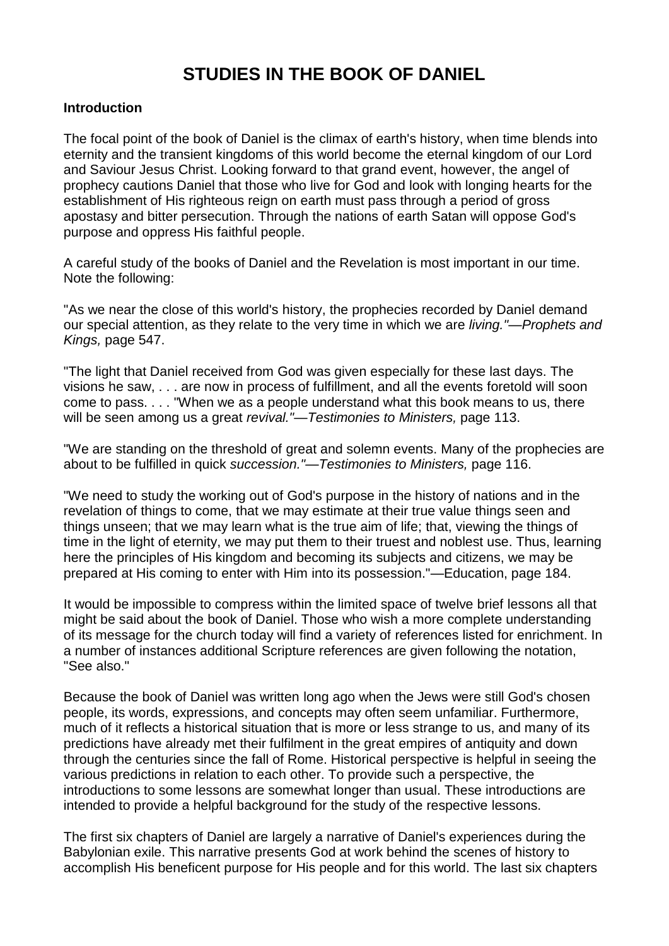## **STUDIES IN THE BOOK OF DANIEL**

## **Introduction**

The focal point of the book of Daniel is the climax of earth's history, when time blends into eternity and the transient kingdoms of this world become the eternal kingdom of our Lord and Saviour Jesus Christ. Looking forward to that grand event, however, the angel of prophecy cautions Daniel that those who live for God and look with longing hearts for the establishment of His righteous reign on earth must pass through a period of gross apostasy and bitter persecution. Through the nations of earth Satan will oppose God's purpose and oppress His faithful people.

A careful study of the books of Daniel and the Revelation is most important in our time. Note the following:

"As we near the close of this world's history, the prophecies recorded by Daniel demand our special attention, as they relate to the very time in which we are *living."—Prophets and Kings,* page 547.

"The light that Daniel received from God was given especially for these last days. The visions he saw, . . . are now in process of fulfillment, and all the events foretold will soon come to pass. . . . "When we as a people understand what this book means to us, there will be seen among us a great *revival."—Testimonies to Ministers,* page 113.

"We are standing on the threshold of great and solemn events. Many of the prophecies are about to be fulfilled in quick *succession."—Testimonies to Ministers,* page 116.

"We need to study the working out of God's purpose in the history of nations and in the revelation of things to come, that we may estimate at their true value things seen and things unseen; that we may learn what is the true aim of life; that, viewing the things of time in the light of eternity, we may put them to their truest and noblest use. Thus, learning here the principles of His kingdom and becoming its subjects and citizens, we may be prepared at His coming to enter with Him into its possession."—Education, page 184.

It would be impossible to compress within the limited space of twelve brief lessons all that might be said about the book of Daniel. Those who wish a more complete understanding of its message for the church today will find a variety of references listed for enrichment. In a number of instances additional Scripture references are given following the notation, "See also."

Because the book of Daniel was written long ago when the Jews were still God's chosen people, its words, expressions, and concepts may often seem unfamiliar. Furthermore, much of it reflects a historical situation that is more or less strange to us, and many of its predictions have already met their fulfilment in the great empires of antiquity and down through the centuries since the fall of Rome. Historical perspective is helpful in seeing the various predictions in relation to each other. To provide such a perspective, the introductions to some lessons are somewhat longer than usual. These introductions are intended to provide a helpful background for the study of the respective lessons.

The first six chapters of Daniel are largely a narrative of Daniel's experiences during the Babylonian exile. This narrative presents God at work behind the scenes of history to accomplish His beneficent purpose for His people and for this world. The last six chapters